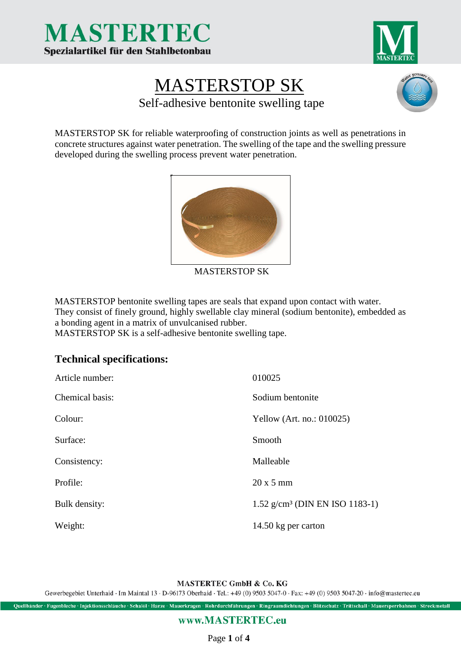



## MASTERSTOP SK Self-adhesive bentonite swelling tape



MASTERSTOP SK for reliable waterproofing of construction joints as well as penetrations in concrete structures against water penetration. The swelling of the tape and the swelling pressure developed during the swelling process prevent water penetration.



MASTERSTOP SK

MASTERSTOP bentonite swelling tapes are seals that expand upon contact with water. They consist of finely ground, highly swellable clay mineral (sodium bentonite), embedded as a bonding agent in a matrix of unvulcanised rubber. MASTERSTOP SK is a self-adhesive bentonite swelling tape.

## **Technical specifications:**

| Article number: | 010025                                       |
|-----------------|----------------------------------------------|
| Chemical basis: | Sodium bentonite                             |
| Colour:         | Yellow (Art. no.: $010025$ )                 |
| Surface:        | Smooth                                       |
| Consistency:    | Malleable                                    |
| Profile:        | $20x5$ mm                                    |
| Bulk density:   | $1.52$ g/cm <sup>3</sup> (DIN EN ISO 1183-1) |
| Weight:         | 14.50 kg per carton                          |

#### MASTERTEC GmbH & Co. KG

Gewerbegebiet Unterhaid · Im Maintal 13 · D-96173 Oberhaid · Tel.: +49 (0) 9503 5047-0 · Fax: +49 (0) 9503 5047-20 · info@mastertec.eu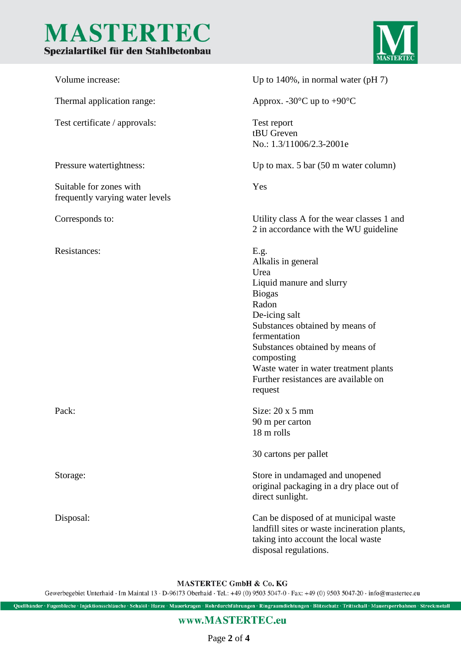# **MASTERTEC** Spezialartikel für den Stahlbetonbau



| Volume increase:                                           | Up to $140\%$ , in normal water (pH 7)                                                                                                                                                                                                                                                                    |
|------------------------------------------------------------|-----------------------------------------------------------------------------------------------------------------------------------------------------------------------------------------------------------------------------------------------------------------------------------------------------------|
| Thermal application range:                                 | Approx. -30 $\rm{^{\circ}C}$ up to +90 $\rm{^{\circ}C}$                                                                                                                                                                                                                                                   |
| Test certificate / approvals:                              | Test report<br>tBU Greven<br>No.: 1.3/11006/2.3-2001e                                                                                                                                                                                                                                                     |
| Pressure watertightness:                                   | Up to max. $5 \text{ bar } (50 \text{ m water column})$                                                                                                                                                                                                                                                   |
| Suitable for zones with<br>frequently varying water levels | Yes                                                                                                                                                                                                                                                                                                       |
| Corresponds to:                                            | Utility class A for the wear classes 1 and<br>2 in accordance with the WU guideline                                                                                                                                                                                                                       |
| Resistances:                                               | E.g.<br>Alkalis in general<br>Urea<br>Liquid manure and slurry<br><b>Biogas</b><br>Radon<br>De-icing salt<br>Substances obtained by means of<br>fermentation<br>Substances obtained by means of<br>composting<br>Waste water in water treatment plants<br>Further resistances are available on<br>request |
| Pack:                                                      | Size: $20 \times 5$ mm<br>90 m per carton<br>18 m rolls<br>30 cartons per pallet                                                                                                                                                                                                                          |
| Storage:                                                   | Store in undamaged and unopened<br>original packaging in a dry place out of<br>direct sunlight.                                                                                                                                                                                                           |
| Disposal:                                                  | Can be disposed of at municipal waste<br>landfill sites or waste incineration plants,<br>taking into account the local waste<br>disposal regulations.                                                                                                                                                     |

MASTERTEC GmbH & Co. KG

Gewerbegebiet Unterhaid · Im Maintal 13 · D-96173 Oberhaid · Tel.: +49 (0) 9503 5047-0 · Fax: +49 (0) 9503 5047-20 · info@mastertec.eu

Quellbänder · Fugenbleche · Injektionsschläuche · Schalöl · Harze · Mauerkragen · Rohrdurchführungen · Ringraumdichtungen · Blitzschutz · Trittschall · Mauersperrbahnen · Streckmetall

#### www.MASTERTEC.eu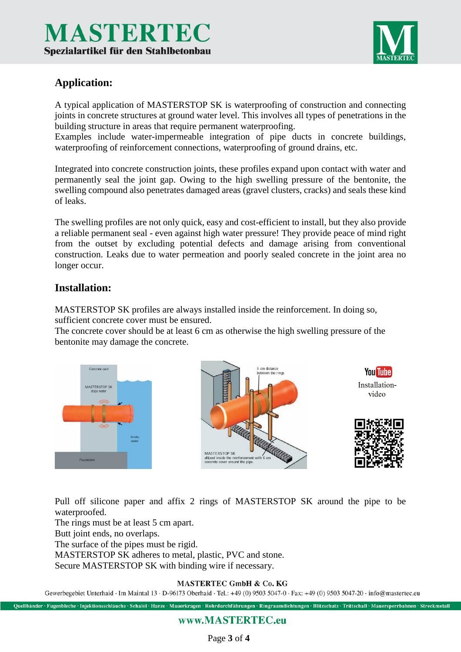

## **Application:**

A typical application of MASTERSTOP SK is waterproofing of construction and connecting joints in concrete structures at ground water level. This involves all types of penetrations in the building structure in areas that require permanent waterproofing.

Examples include water-impermeable integration of pipe ducts in concrete buildings, waterproofing of reinforcement connections, waterproofing of ground drains, etc.

Integrated into concrete construction joints, these profiles expand upon contact with water and permanently seal the joint gap. Owing to the high swelling pressure of the bentonite, the swelling compound also penetrates damaged areas (gravel clusters, cracks) and seals these kind of leaks.

The swelling profiles are not only quick, easy and cost-efficient to install, but they also provide a reliable permanent seal - even against high water pressure! They provide peace of mind right from the outset by excluding potential defects and damage arising from conventional construction. Leaks due to water permeation and poorly sealed concrete in the joint area no longer occur.

## **Installation:**

MASTERSTOP SK profiles are always installed inside the reinforcement. In doing so, sufficient concrete cover must be ensured.

The concrete cover should be at least 6 cm as otherwise the high swelling pressure of the bentonite may damage the concrete.



Pull off silicone paper and affix 2 rings of MASTERSTOP SK around the pipe to be waterproofed.

The rings must be at least 5 cm apart. Butt joint ends, no overlaps. The surface of the pipes must be rigid. MASTERSTOP SK adheres to metal, plastic, PVC and stone. Secure MASTERSTOP SK with binding wire if necessary.

#### **MASTERTEC GmbH & Co. KG**

Gewerbegebiet Unterhaid · Im Maintal 13 · D-96173 Oberhaid · Tel.: +49 (0) 9503 5047-0 · Fax: +49 (0) 9503 5047-20 · info@mastertec.eu

#### www.MASTERTEC.eu